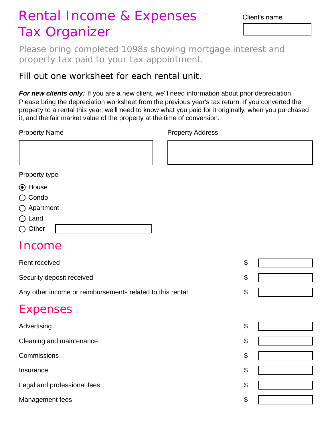## Rental Income & Expenses Tax Organizer

Client's name

Please bring completed 1098s showing mortgage interest and property tax paid to your tax appointment.

Fill out one worksheet for each rental unit.

*For new clients only:* If you are a new client, we'll need information about prior depreciation. Please bring the depreciation worksheet from the previous year's tax return. If you converted the property to a rental this year, we'll need to know what you paid for it originally, when you purchased it, and the fair market value of the property at the time of conversion.

Property Name **Property Address** 

| Property type |  |
|---------------|--|
|---------------|--|

- $\odot$  House
- ◯ Condo
- Apartment
- ◯ Land
- $\bigcirc$  Other

## Income

| Rent received                                             | \$ |
|-----------------------------------------------------------|----|
| Security deposit received                                 | \$ |
| Any other income or reimbursements related to this rental | \$ |
| <b>Expenses</b>                                           |    |
| Advertising                                               | \$ |
| Cleaning and maintenance                                  | \$ |
| Commissions                                               | \$ |
| Insurance                                                 | \$ |
| Legal and professional fees                               | \$ |
| Management fees                                           | \$ |